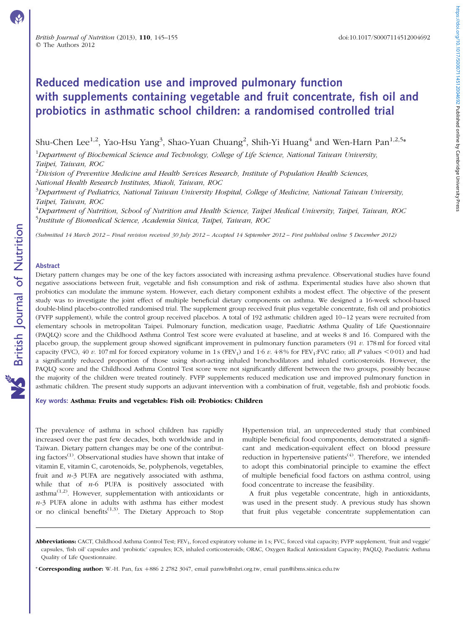# Reduced medication use and improved pulmonary function with supplements containing vegetable and fruit concentrate, fish oil and probiotics in asthmatic school children: a randomised controlled trial

Shu-Chen Lee $^{1,2}$ , Yao-Hsu Yang $^3$ , Shao-Yuan Chuang $^2$ , Shih-Yi Huang $^4$  and Wen-Harn Pan $^{1,2,5\ast}$ 

<sup>1</sup>Department of Biochemical Science and Technology, College of Life Science, National Taiwan University, Taipei, Taiwan, ROC

 $^{2}$ Division of Preventive Medicine and Health Services Research, Institute of Population Health Sciences, National Health Research Institutes, Miaoli, Taiwan, ROC

<sup>3</sup>Department of Pediatrics, National Taiwan University Hospital, College of Medicine, National Taiwan University, Taipei, Taiwan, ROC

<sup>4</sup>Department of Nutrition, School of Nutrition and Health Science, Taipei Medical University, Taipei, Taiwan, ROC <sup>5</sup>Institute of Biomedical Science, Academia Sinica, Taipei, Taiwan, ROC

(Submitted 14 March 2012 – Final revision received 30 July 2012 – Accepted 14 September 2012 – First published online 5 December 2012)

#### Abstract

Dietary pattern changes may be one of the key factors associated with increasing asthma prevalence. Observational studies have found negative associations between fruit, vegetable and fish consumption and risk of asthma. Experimental studies have also shown that probiotics can modulate the immune system. However, each dietary component exhibits a modest effect. The objective of the present study was to investigate the joint effect of multiple beneficial dietary components on asthma. We designed a 16-week school-based double-blind placebo-controlled randomised trial. The supplement group received fruit plus vegetable concentrate, fish oil and probiotics (FVFP supplement), while the control group received placebos. A total of 192 asthmatic children aged 10–12 years were recruited from elementary schools in metropolitan Taipei. Pulmonary function, medication usage, Paediatric Asthma Quality of Life Questionnaire (PAQLQ) score and the Childhood Asthma Control Test score were evaluated at baseline, and at weeks 8 and 16. Compared with the placebo group, the supplement group showed significant improvement in pulmonary function parameters  $(91 v. 178 ml$  for forced vital capacity (FVC), 40 v. 107 ml for forced expiratory volume in 1 s (FEV<sub>1</sub>) and 1.6 v. 4.8% for FEV<sub>1</sub>:FVC ratio; all P values <0.01) and had a significantly reduced proportion of those using short-acting inhaled bronchodilators and inhaled corticosteroids. However, the PAQLQ score and the Childhood Asthma Control Test score were not significantly different between the two groups, possibly because the majority of the children were treated routinely. FVFP supplements reduced medication use and improved pulmonary function in asthmatic children. The present study supports an adjuvant intervention with a combination of fruit, vegetable, fish and probiotic foods.

Key words: Asthma: Fruits and vegetables: Fish oil: Probiotics: Children

The prevalence of asthma in school children has rapidly increased over the past few decades, both worldwide and in Taiwan. Dietary pattern changes may be one of the contributing factors<sup>(1)</sup>. Observational studies have shown that intake of vitamin E, vitamin C, carotenoids, Se, polyphenols, vegetables, fruit and  $n-3$  PUFA are negatively associated with asthma, while that of  $n-6$  PUFA is positively associated with asthma $^{(1,2)}$ . However, supplementation with antioxidants or  $n-3$  PUFA alone in adults with asthma has either modest or no clinical benefits $(1,3)$ . The Dietary Approach to Stop

Hypertension trial, an unprecedented study that combined multiple beneficial food components, demonstrated a significant and medication-equivalent effect on blood pressure reduction in hypertensive patients<sup> $(4)$ </sup>. Therefore, we intended to adopt this combinatorial principle to examine the effect of multiple beneficial food factors on asthma control, using food concentrate to increase the feasibility.

A fruit plus vegetable concentrate, high in antioxidants, was used in the present study. A previous study has shown that fruit plus vegetable concentrate supplementation can

Abbreviations: CACT, Childhood Asthma Control Test; FEV<sub>1</sub>, forced expiratory volume in 1 s; FVC, forced vital capacity; FVFP supplement, 'fruit and veggie' capsules, 'fish oil' capsules and 'probiotic' capsules; ICS, inhaled corticosteroids; ORAC, Oxygen Radical Antioxidant Capacity; PAQLQ, Paediatric Asthma Quality of Life Questionnaire.

<sup>\*</sup> Corresponding author: W.-H. Pan, fax +886 2 2782 3047, email panwh@nhri.org.tw, email pan@ibms.sinica.edu.tw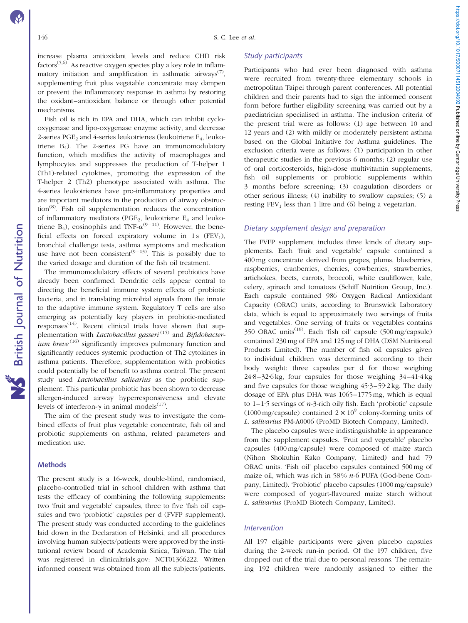increase plasma antioxidant levels and reduce CHD risk  $factors^{(5,6)}$ . As reactive oxygen species play a key role in inflammatory initiation and amplification in asthmatic airways<sup>(7)</sup>, supplementing fruit plus vegetable concentrate may dampen or prevent the inflammatory response in asthma by restoring the oxidant–antioxidant balance or through other potential mechanisms.

Fish oil is rich in EPA and DHA, which can inhibit cyclooxygenase and lipo-oxygenase enzyme activity, and decrease 2-series PGE<sub>2</sub> and 4-series leukotrienes (leukotriene  $E_4$ , leukotriene  $B_4$ ). The 2-series PG have an immunomodulatory function, which modifies the activity of macrophages and lymphocytes and suppresses the production of T-helper 1 (Th1)-related cytokines, promoting the expression of the T-helper 2 (Th2) phenotype associated with asthma. The 4-series leukotrienes have pro-inflammatory properties and are important mediators in the production of airway obstruction(8). Fish oil supplementation reduces the concentration of inflammatory mediators (PGE<sub>2</sub>, leukotriene  $E_4$  and leukotriene  $B_4$ ), eosinophils and TNF- $\alpha^{(9-11)}$ . However, the beneficial effects on forced expiratory volume in 1s  $(FEV_1)$ , bronchial challenge tests, asthma symptoms and medication use have not been consistent<sup> $(9-13)$ </sup>. This is possibly due to the varied dosage and duration of the fish oil treatment.

The immunomodulatory effects of several probiotics have already been confirmed. Dendritic cells appear central to directing the beneficial immune system effects of probiotic bacteria, and in translating microbial signals from the innate to the adaptive immune system. Regulatory T cells are also emerging as potentially key players in probiotic-mediated  $resposes^{(14)}$ . Recent clinical trials have shown that supplementation with *Lactobacillus gasseri*  $(15)$  and *Bifidobacterium breve*<sup> $(16)$ </sup> significantly improves pulmonary function and significantly reduces systemic production of Th2 cytokines in asthma patients. Therefore, supplementation with probiotics could potentially be of benefit to asthma control. The present study used *Lactobacillus salivarius* as the probiotic supplement. This particular probiotic has been shown to decrease allergen-induced airway hyperresponsiveness and elevate levels of interferon- $\gamma$  in animal models<sup>(17)</sup>.

The aim of the present study was to investigate the combined effects of fruit plus vegetable concentrate, fish oil and probiotic supplements on asthma, related parameters and medication use.

# Methods

British Journal of Nutrition

**NS** British Journal of Nutrition

The present study is a 16-week, double-blind, randomised, placebo-controlled trial in school children with asthma that tests the efficacy of combining the following supplements: two 'fruit and vegetable' capsules, three to five 'fish oil' capsules and two 'probiotic' capsules per d (FVFP supplement). The present study was conducted according to the guidelines laid down in the Declaration of Helsinki, and all procedures involving human subjects/patients were approved by the institutional review board of Academia Sinica, Taiwan. The trial was registered in clinicaltrials.gov: NCT01366222. Written informed consent was obtained from all the subjects/patients.

## Study participants

Participants who had ever been diagnosed with asthma were recruited from twenty-three elementary schools in metropolitan Taipei through parent conferences. All potential children and their parents had to sign the informed consent form before further eligibility screening was carried out by a paediatrician specialised in asthma. The inclusion criteria of the present trial were as follows: (1) age between 10 and 12 years and (2) with mildly or moderately persistent asthma based on the Global Initiative for Asthma guidelines. The exclusion criteria were as follows: (1) participation in other therapeutic studies in the previous 6 months; (2) regular use of oral corticosteroids, high-dose multivitamin supplements, fish oil supplements or probiotic supplements within 3 months before screening; (3) coagulation disorders or other serious illness; (4) inability to swallow capsules; (5) a resting  $FEV<sub>1</sub>$  less than 1 litre and (6) being a vegetarian.

# Dietary supplement design and preparation

The FVFP supplement includes three kinds of dietary supplements. Each 'fruit and vegetable' capsule contained a 400 mg concentrate derived from grapes, plums, blueberries, raspberries, cranberries, cherries, cowberries, strawberries, artichokes, beets, carrots, broccoli, white cauliflower, kale, celery, spinach and tomatoes (Schiff Nutrition Group, Inc.). Each capsule contained 986 Oxygen Radical Antioxidant Capacity (ORAC) units, according to Brunswick Laboratory data, which is equal to approximately two servings of fruits and vegetables. One serving of fruits or vegetables contains 350 ORAC units<sup> $(18)$ </sup>. Each 'fish oil' capsule (500 mg/capsule) contained 230 mg of EPA and 125 mg of DHA (DSM Nutritional Products Limited). The number of fish oil capsules given to individual children was determined according to their body weight: three capsules per d for those weighing 24·8–32·6 kg, four capsules for those weighing 34–41·4 kg and five capsules for those weighing 45·3–59·2 kg. The daily dosage of EPA plus DHA was 1065–1775 mg, which is equal to  $1-1.5$  servings of  $n-3$ -rich oily fish. Each 'probiotic' capsule (1000 mg/capsule) contained  $2 \times 10^9$  colony-forming units of L. salivarius PM-A0006 (ProMD Biotech Company, Limited).

The placebo capsules were indistinguishable in appearance from the supplement capsules. 'Fruit and vegetable' placebo capsules (400 mg/capsule) were composed of maize starch (Nihon Shokuhin Kako Company, Limited) and had 79 ORAC units. 'Fish oil' placebo capsules contained 500 mg of maize oil, which was rich in 58%  $n-6$  PUFA (God-bene Company, Limited). 'Probiotic' placebo capsules (1000 mg/capsule) were composed of yogurt-flavoured maize starch without L. salivarius (ProMD Biotech Company, Limited).

### **Intervention**

All 197 eligible participants were given placebo capsules during the 2-week run-in period. Of the 197 children, five dropped out of the trial due to personal reasons. The remaining 192 children were randomly assigned to either the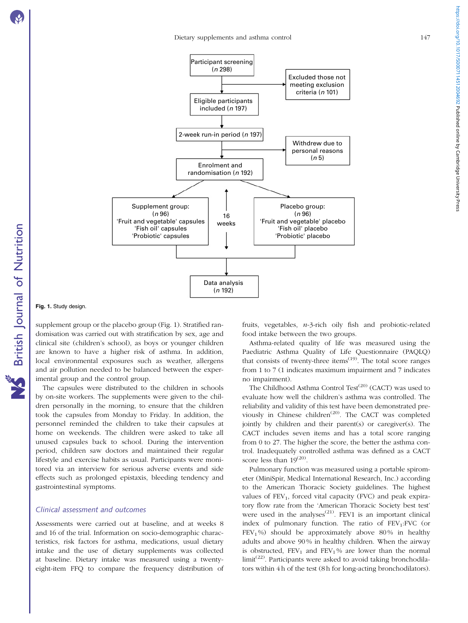Fig. 1. Study design.

supplement group or the placebo group (Fig. 1). Stratified randomisation was carried out with stratification by sex, age and clinical site (children's school), as boys or younger children are known to have a higher risk of asthma. In addition, local environmental exposures such as weather, allergens and air pollution needed to be balanced between the experimental group and the control group.

The capsules were distributed to the children in schools by on-site workers. The supplements were given to the children personally in the morning, to ensure that the children took the capsules from Monday to Friday. In addition, the personnel reminded the children to take their capsules at home on weekends. The children were asked to take all unused capsules back to school. During the intervention period, children saw doctors and maintained their regular lifestyle and exercise habits as usual. Participants were monitored via an interview for serious adverse events and side effects such as prolonged epistaxis, bleeding tendency and gastrointestinal symptoms.

### Clinical assessment and outcomes

Assessments were carried out at baseline, and at weeks 8 and 16 of the trial. Information on socio-demographic characteristics, risk factors for asthma, medications, usual dietary intake and the use of dietary supplements was collected at baseline. Dietary intake was measured using a twentyeight-item FFQ to compare the frequency distribution of fruits, vegetables, n-3-rich oily fish and probiotic-related food intake between the two groups.

Asthma-related quality of life was measured using the Paediatric Asthma Quality of Life Questionnaire (PAQLQ) that consists of twenty-three items $(19)$ . The total score ranges from 1 to 7 (1 indicates maximum impairment and 7 indicates no impairment).

The Childhood Asthma Control Test<sup>(20)</sup> (CACT) was used to evaluate how well the children's asthma was controlled. The reliability and validity of this test have been demonstrated previously in Chinese children<sup>(20)</sup>. The CACT was completed jointly by children and their parent(s) or caregiver(s). The CACT includes seven items and has a total score ranging from 0 to 27. The higher the score, the better the asthma control. Inadequately controlled asthma was defined as a CACT score less than  $19^{(20)}$ .

Pulmonary function was measured using a portable spirometer (MiniSpir, Medical International Research, Inc.) according to the American Thoracic Society guidelines. The highest values of  $FEV<sub>1</sub>$ , forced vital capacity (FVC) and peak expiratory flow rate from the 'American Thoracic Society best test' were used in the analyses<sup> $(21)$ </sup>. FEV1 is an important clinical index of pulmonary function. The ratio of  $FEV<sub>1</sub>:FVC$  (or  $FEV<sub>1</sub>$ %) should be approximately above 80% in healthy adults and above 90 % in healthy children. When the airway is obstructed,  $FEV_1$  and  $FEV_1$ % are lower than the normal limit<sup>(22)</sup>. Participants were asked to avoid taking bronchodilators within 4 h of the test (8 h for long-acting bronchodilators).

<span id="page-2-0"></span>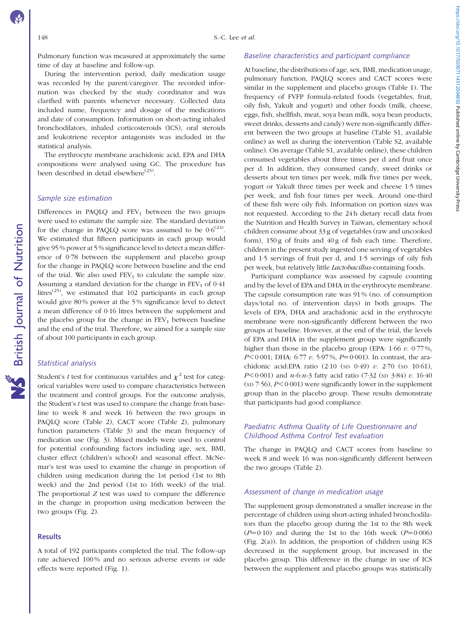Pulmonary function was measured at approximately the same time of day at baseline and follow-up.

During the intervention period, daily medication usage was recorded by the parent/caregiver. The recorded information was checked by the study coordinator and was clarified with parents whenever necessary. Collected data included name, frequency and dosage of the medications and date of consumption. Information on short-acting inhaled bronchodilators, inhaled corticosteroids (ICS), oral steroids and leukotriene receptor antagonists was included in the statistical analysis.

The erythrocyte membrane arachidonic acid, EPA and DHA compositions were analysed using GC. The procedure has been described in detail elsewhere<sup> $(23)$ </sup>.

# Sample size estimation

Differences in PAQLQ and  $FEV<sub>1</sub>$  between the two groups were used to estimate the sample size. The standard deviation for the change in PAQLQ score was assumed to be  $0.6^{(24)}$ . We estimated that fifteen participants in each group would give 95 % power at 5 % significance level to detect a mean difference of 0·78 between the supplement and placebo group for the change in PAQLQ score between baseline and the end of the trial. We also used  $FEV<sub>1</sub>$  to calculate the sample size. Assuming a standard deviation for the change in  $FEV<sub>1</sub>$  of 0.41 litres<sup> $(25)$ </sup>, we estimated that 102 participants in each group would give 80 % power at the 5 % significance level to detect a mean difference of 0·16 litres between the supplement and the placebo group for the change in  $FEV<sub>1</sub>$  between baseline and the end of the trial. Therefore, we aimed for a sample size of about 100 participants in each group.

#### Statistical analysis

British Journal of Nutrition

**NS** British Journal of Nutrition

Student's t test for continuous variables and  $\chi^2$  test for categorical variables were used to compare characteristics between the treatment and control groups. For the outcome analysis, the Student's t test was used to compare the change from baseline to week 8 and week 16 between the two groups in PAQLQ score ([Table 2](#page-5-0)), CACT score [\(Table 2\)](#page-5-0), pulmonary function parameters ([Table 3\)](#page-7-0) and the mean frequency of medication use ([Fig. 3](#page-6-0)). Mixed models were used to control for potential confounding factors including age, sex, BMI, cluster effect (children's school) and seasonal effect. McNemar's test was used to examine the change in proportion of children using medication during the 1st period (1st to 8th week) and the 2nd period (1st to 16th week) of the trial. The proportional Z test was used to compare the difference in the change in proportion using medication between the two groups ([Fig. 2](#page-4-0)).

# **Results**

A total of 192 participants completed the trial. The follow-up rate achieved 100% and no serious adverse events or side effects were reported [\(Fig. 1\)](#page-2-0).

#### Baseline characteristics and participant compliance

At baseline, the distributions of age, sex, BMI, medication usage, pulmonary function, PAQLQ scores and CACT scores were similar in the supplement and placebo groups ([Table 1](#page-5-0)). The frequency of FVFP formula-related foods (vegetables, fruit, oily fish, Yakult and yogurt) and other foods (milk, cheese, eggs, fish, shellfish, meat, soya bean milk, soya bean products, sweet drinks, desserts and candy) were non-significantly different between the two groups at baseline (Table S1, available online) as well as during the intervention (Table S2, available online). On average (Table S1, available online), these children consumed vegetables about three times per d and fruit once per d. In addition, they consumed candy, sweet drinks or desserts about ten times per week, milk five times per week, yogurt or Yakult three times per week and cheese 1·5 times per week, and fish four times per week. Around one-third of these fish were oily fish. Information on portion sizes was not requested. According to the 24 h dietary recall data from the Nutrition and Health Survey in Taiwan, elementary school children consume about 33 g of vegetables (raw and uncooked form),  $150 g$  of fruits and  $40 g$  of fish each time. Therefore, children in the present study ingested one serving of vegetables and 1·5 servings of fruit per d, and 1·5 servings of oily fish per week, but relatively little Lactobacillus-containing foods.

Participant compliance was assessed by capsule counting and by the level of EPA and DHA in the erythrocyte membrane. The capsule consumption rate was 91 % (no. of consumption days/total no. of intervention days) in both groups. The levels of EPA, DHA and arachidonic acid in the erythrocyte membrane were non-significantly different between the two groups at baseline. However, at the end of the trial, the levels of EPA and DHA in the supplement group were significantly higher than those in the placebo group (EPA:  $1.66 \, v. \, 0.77 \, %$ ,  $P<0.001$ ; DHA: 6.77 v. 5.97%,  $P=0.001$ ). In contrast, the arachidonic acid:EPA ratio (2·10 (SD 0·49) v. 2·70 (SD 10·61),  $P$ <0·001) and n-6:n-3 fatty acid ratio (7·32 (sp 3·84) v. 16·40 (sp  $7.56$ ),  $P<0.001$ ) were significantly lower in the supplement group than in the placebo group. These results demonstrate that participants had good compliance.

# Paediatric Asthma Quality of Life Questionnaire and Childhood Asthma Control Test evaluation

The change in PAQLQ and CACT scores from baseline to week 8 and week 16 was non-significantly different between the two groups ([Table 2\)](#page-5-0).

# Assessment of change in medication usage

The supplement group demonstrated a smaller increase in the percentage of children using short-acting inhaled bronchodilators than the placebo group during the 1st to the 8th week  $(P=0.10)$  and during the 1st to the 16th week  $(P=0.006)$ [\(Fig. 2\(a\)\)](#page-4-0). In addition, the proportion of children using ICS decreased in the supplement group, but increased in the placebo group. This difference in the change in use of ICS between the supplement and placebo groups was statistically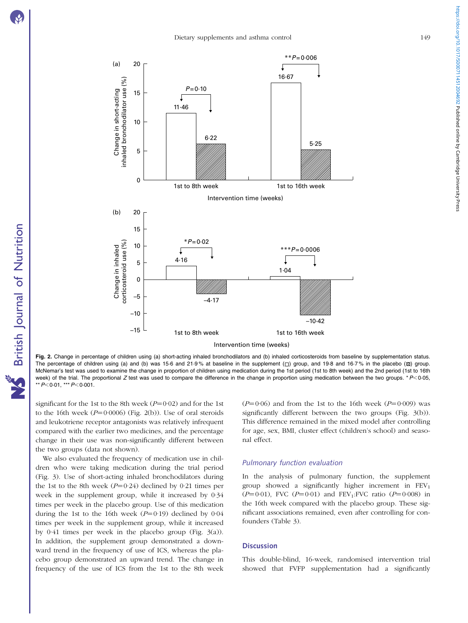British Journal of Nutrition

**NS** British Journal of Nutrition



 $-10.42$ 

1st to 8th week Intervention time (weeks) 1st to 16th week

Fig. 2. Change in percentage of children using (a) short-acting inhaled bronchodilators and (b) inhaled corticosteroids from baseline by supplementation status. The percentage of children using (a) and (b) was 15·6 and 21·9% at baseline in the supplement  $\Box$  group, and 19·8 and 16·7% in the placebo ( $\Box$ ) group. McNemar's test was used to examine the change in proportion of children using medication during the 1st period (1st to 8th week) and the 2nd period (1st to 16th week) of the trial. The proportional Z test was used to compare the difference in the change in proportion using medication between the two groups. \*  $P<0.05$ , \*\*  $P$ <0.01, \*\*\*  $P$  < 0.001.

significant for the 1st to the 8th week  $(P=0.02)$  and for the 1st to the 16th week  $(P=0.0006)$  (Fig. 2(b)). Use of oral steroids and leukotriene receptor antagonists was relatively infrequent compared with the earlier two medicines, and the percentage change in their use was non-significantly different between the two groups (data not shown).

(b) 20

Change in inhaled corticosteroid use (%)

Change in inhaled<br>corticosteroid use (%)

15

20

15

10

Change in short-acting inhaled bronchodilator use (%)

Change in short-acting<br>inhaled bronchodilator use (%)

<span id="page-4-0"></span>(a)

5

 $\Omega$ 

10

5

4·16

 $\sqrt{ }$ 

11·46

I

 $P = 0.10$ 

 $*P - 0.02$ 

0

–5

–10

–15

We also evaluated the frequency of medication use in children who were taking medication during the trial period ([Fig. 3](#page-6-0)). Use of short-acting inhaled bronchodilators during the 1st to the 8th week  $(P=0.24)$  declined by 0.21 times per week in the supplement group, while it increased by 0·34 times per week in the placebo group. Use of this medication during the 1st to the 16th week  $(P=0.19)$  declined by 0.04 times per week in the supplement group, while it increased by 0·41 times per week in the placebo group ([Fig. 3\(a\)\)](#page-6-0). In addition, the supplement group demonstrated a downward trend in the frequency of use of ICS, whereas the placebo group demonstrated an upward trend. The change in frequency of the use of ICS from the 1st to the 8th week  $(P=0.06)$  and from the 1st to the 16th week  $(P=0.009)$  was significantly different between the two groups ([Fig. 3\(b\)\)](#page-6-0). This difference remained in the mixed model after controlling for age, sex, BMI, cluster effect (children's school) and seasonal effect.

# Pulmonary function evaluation

In the analysis of pulmonary function, the supplement group showed a significantly higher increment in  $FEV<sub>1</sub>$  $(P=0.01)$ , FVC  $(P=0.01)$  and FEV<sub>1</sub>:FVC ratio  $(P=0.008)$  in the 16th week compared with the placebo group. These significant associations remained, even after controlling for confounders ([Table 3\)](#page-7-0).

#### **Discussion**

This double-blind, 16-week, randomised intervention trial showed that FVFP supplementation had a significantly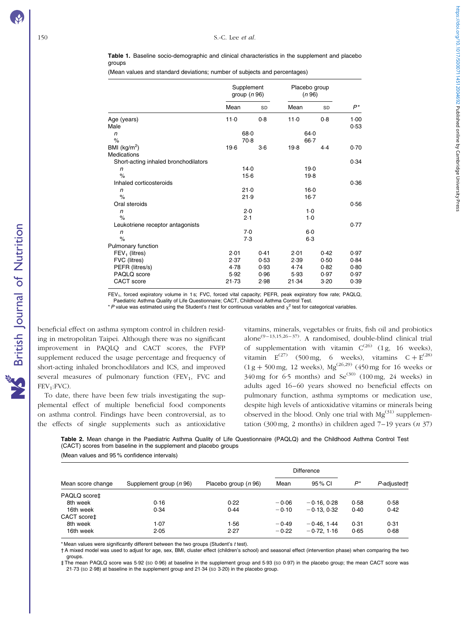<span id="page-5-0"></span>Table 1. Baseline socio-demographic and clinical characteristics in the supplement and placebo groups

(Mean values and standard deviations; number of subjects and percentages)

|                                                                                                              | Supplement<br>group $(n 96)$          |                                      | Placebo group<br>(n 96)               |                                      |                                      |
|--------------------------------------------------------------------------------------------------------------|---------------------------------------|--------------------------------------|---------------------------------------|--------------------------------------|--------------------------------------|
|                                                                                                              | Mean                                  | <b>SD</b>                            | Mean                                  | SD                                   | $P^*$                                |
| Age (years)<br>Male                                                                                          | 11.0                                  | 0.8                                  | 11.0                                  | 0.8                                  | 1.00<br>0.53                         |
| $\sqrt{n}$<br>$\%$                                                                                           | 68.0<br>$70-8$                        |                                      | 64.0<br>$66 - 7$                      |                                      |                                      |
| BMI $(kg/m2)$<br><b>Medications</b>                                                                          | $19-6$                                | $3-6$                                | 19.8                                  | 4.4                                  | 0.70                                 |
| Short-acting inhaled bronchodilators<br>n<br>$\%$                                                            | 14.0<br>$15-6$                        |                                      | 19.0<br>$19-8$                        |                                      | 0.34                                 |
| Inhaled corticosteroids<br>n<br>$\%$                                                                         | 21.0                                  |                                      | $16-0$                                |                                      | 0.36                                 |
| Oral steroids<br>n<br>$\%$                                                                                   | 21.9<br>2.0<br>2.1                    |                                      | $16-7$<br>$1-0$<br>$1-0$              |                                      | 0.56                                 |
| Leukotriene receptor antagonists<br>n<br>$\%$                                                                | 7.0<br>7.3                            |                                      | $6-0$<br>$6-3$                        |                                      | 0.77                                 |
| Pulmonary function<br>$FEV1$ (litres)<br>FVC (litres)<br>PEFR (litres/s)<br>PAQLQ score<br><b>CACT</b> score | 2.01<br>2.37<br>4.78<br>5.92<br>21.73 | 0.41<br>0.53<br>0.93<br>0.96<br>2.98 | 2.01<br>2.39<br>4.74<br>5.93<br>21.34 | 0.42<br>0.50<br>0.82<br>0.97<br>3.20 | 0.97<br>0.84<br>0.80<br>0.97<br>0.39 |

FEV<sub>1</sub>, forced expiratory volume in 1 s; FVC, forced vital capacity; PEFR, peak expiratory flow rate; PAQLQ,

Paediatric Asthma Quality of Life Questionnaire; CACT, Childhood Asthma Control Test.

\*P value was estimated using the Student's t test for continuous variables and  $x^2$  test for categorical variables.

beneficial effect on asthma symptom control in children residing in metropolitan Taipei. Although there was no significant improvement in PAQLQ and CACT scores, the FVFP supplement reduced the usage percentage and frequency of short-acting inhaled bronchodilators and ICS, and improved several measures of pulmonary function (FEV<sub>1</sub>, FVC and FEV<sub>1</sub>:FVC).

To date, there have been few trials investigating the supplemental effect of multiple beneficial food components on asthma control. Findings have been controversial, as to the effects of single supplements such as antioxidative

vitamins, minerals, vegetables or fruits, fish oil and probiotics  $a$ lone<sup>(9–13,15,26–37)</sup>. A randomised, double-blind clinical trial of supplementation with vitamin  $C^{(26)}$  (1g, 16 weeks), vitamin  $E^{(27)}$  (500 mg, 6 weeks), vitamins  $C + E^{(28)}$  $(1 g + 500 \text{ mg}, 12 \text{ weeks})$ , Mg<sup>(26,29)</sup> (450 mg for 16 weeks or  $340 \text{ mg}$  for 6.5 months) and Se<sup>(30)</sup> (100 mg, 24 weeks) in adults aged 16–60 years showed no beneficial effects on pulmonary function, asthma symptoms or medication use, despite high levels of antioxidative vitamins or minerals being observed in the blood. Only one trial with  $Mg^{(31)}$  supplementation (300 mg, 2 months) in children aged  $7-19$  years (*n* 37)

Table 2. Mean change in the Paediatric Asthma Quality of Life Questionnaire (PAQLQ) and the Childhood Asthma Control Test (CACT) scores from baseline in the supplement and placebo groups (Mean values and 95 % confidence intervals)

| Mean score change |                         |                      | Difference |                |      |             |
|-------------------|-------------------------|----------------------|------------|----------------|------|-------------|
|                   | Supplement group (n 96) | Placebo group (n 96) | Mean       | 95 % CI        | P*   | P-adjusted† |
| PAQLQ score‡      |                         |                      |            |                |      |             |
| 8th week          | 0.16                    | 0.22                 | $-0.06$    | $-0.16, 0.28$  | 0.58 | 0.58        |
| 16th week         | 0.34                    | 0.44                 | $-0.10$    | $-0.13, 0.32$  | 0.40 | 0.42        |
| CACT score‡       |                         |                      |            |                |      |             |
| 8th week          | 1.07                    | 1.56                 | $-0.49$    | $-0.46$ . 1.44 | 0.31 | 0.31        |
| 16th week         | 2.05                    | 2.27                 | $-0.22$    | $-0.72.116$    | 0.65 | 0.68        |

\* Mean values were significantly different between the two groups (Student's t test).

† A mixed model was used to adjust for age, sex, BMI, cluster effect (children's school) and seasonal effect (intervention phase) when comparing the two groups.

‡ The mean PAQLQ score was 5·92 (SD 0·96) at baseline in the supplement group and 5·93 (SD 0·97) in the placebo group; the mean CACT score was 21·73 (SD 2·98) at baseline in the supplement group and 21·34 (SD 3·20) in the placebo group.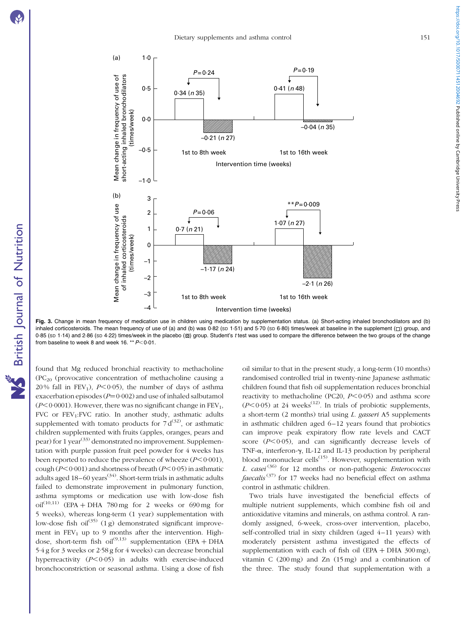British Journal of Nutrition

**NS** British Journal of Nutrition

<span id="page-6-0"></span>

Fig. 3. Change in mean frequency of medication use in children using medication by supplementation status. (a) Short-acting inhaled bronchodilators and (b) inhaled corticosteroids. The mean frequency of use of (a) and (b) was 0.82 (sp 1.51) and 5.70 (sp 6.80) times/week at baseline in the supplement  $(\Box)$  group, and 0-85 (SD 1-14) and 2-86 (SD 4-22) times/week in the placebo (Z) group. Student's t test was used to compare the difference between the two groups of the change from baseline to week 8 and week 16. \*\*  $P<0.01$ .

found that Mg reduced bronchial reactivity to methacholine  $(PC_{20}$  (provocative concentration of methacholine causing a 20% fall in FEV<sub>1</sub>),  $P<0.05$ ), the number of days of asthma exacerbation episodes ( $P=0.002$ ) and use of inhaled salbutamol  $(P<0.0001)$ . However, there was no significant change in FEV<sub>1</sub>, FVC or  $FEV_1: FVC$  ratio. In another study, asthmatic adults supplemented with tomato products for  $7 d^{(32)}$ , or asthmatic children supplemented with fruits (apples, oranges, pears and pear) for 1 year<sup>(33)</sup> demonstrated no improvement. Supplementation with purple passion fruit peel powder for 4 weeks has been reported to reduce the prevalence of wheeze  $(P<0.001)$ , cough ( $P$ <0·001) and shortness of breath ( $P$ <0·05) in asthmatic adults aged  $18-60$  years<sup>(34)</sup>. Short-term trials in asthmatic adults failed to demonstrate improvement in pulmonary function, asthma symptoms or medication use with low-dose fish  $\text{oil}^{(10,11)}$  (EPA + DHA 780 mg for 2 weeks or 690 mg for 5 weeks), whereas long-term (1 year) supplementation with low-dose fish oil<sup>(35)</sup> (1 g) demonstrated significant improvement in  $FEV_1$  up to 9 months after the intervention. Highdose, short-term fish oil<sup>(9,13)</sup> supplementation (EPA + DHA 5·4 g for 3 weeks or 2·58 g for 4 weeks) can decrease bronchial hyperreactivity  $(P<0.05)$  in adults with exercise-induced bronchoconstriction or seasonal asthma. Using a dose of fish

oil similar to that in the present study, a long-term (10 months) randomised controlled trial in twenty-nine Japanese asthmatic children found that fish oil supplementation reduces bronchial reactivity to methacholine (PC20,  $P \le 0.05$ ) and asthma score  $(P<0.05)$  at 24 weeks<sup>(12)</sup>. In trials of probiotic supplements, a short-term  $(2 \text{ months})$  trial using *L. gasseri* A5 supplements in asthmatic children aged 6–12 years found that probiotics can improve peak expiratory flow rate levels and CACT score  $(P<0.05)$ , and can significantly decrease levels of TNF- $\alpha$ , interferon- $\gamma$ , IL-12 and IL-13 production by peripheral blood mononuclear cells<sup> $(15)$ </sup>. However, supplementation with L. casei<sup>(36)</sup> for 12 months or non-pathogenic *Enterococcus faecalis*<sup> $(37)$ </sup> for 17 weeks had no beneficial effect on asthma control in asthmatic children.

Two trials have investigated the beneficial effects of multiple nutrient supplements, which combine fish oil and antioxidative vitamins and minerals, on asthma control. A randomly assigned, 6-week, cross-over intervention, placebo, self-controlled trial in sixty children (aged 4–11 years) with moderately persistent asthma investigated the effects of supplementation with each of fish oil (EPA + DHA  $300 \text{ mg}$ ), vitamin C (200 mg) and Zn (15 mg) and a combination of the three. The study found that supplementation with a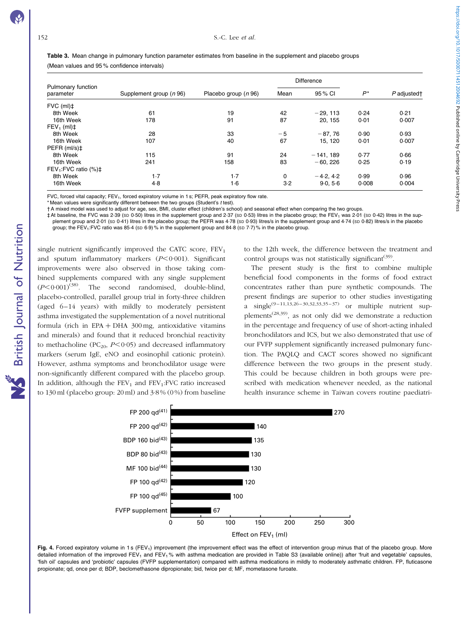<span id="page-7-0"></span>

| Table 3. Mean change in pulmonary function parameter estimates from baseline in the supplement and placebo groups |  |
|-------------------------------------------------------------------------------------------------------------------|--|
| (Mean values and 95% confidence intervals)                                                                        |  |

| Pulmonary function<br>parameter   |                         | Placebo group $(n 96)$ | <b>Difference</b> |             |       |             |
|-----------------------------------|-------------------------|------------------------|-------------------|-------------|-------|-------------|
|                                   | Supplement group (n 96) |                        | Mean              | 95 % CI     | $P^*$ | P adjusted† |
| $FVC$ (ml) $\ddagger$             |                         |                        |                   |             |       |             |
| 8th Week                          | 61                      | 19                     | 42                | $-29.113$   | 0.24  | 0.21        |
| 16th Week                         | 178                     | 91                     | 87                | 20.155      | 0.01  | 0.007       |
| $FEV_1$ (ml) $\ddagger$           |                         |                        |                   |             |       |             |
| 8th Week                          | 28                      | 33                     | $-5$              | $-87,76$    | 0.90  | 0.93        |
| 16th Week                         | 107                     | 40                     | 67                | 15, 120     | 0.01  | 0.007       |
| PEFR (ml/s)‡                      |                         |                        |                   |             |       |             |
| 8th Week                          | 115                     | 91                     | 24                | $-141.189$  | 0.77  | 0.66        |
| 16th Week                         | 241                     | 158                    | 83                | $-60.226$   | 0.25  | 0.19        |
| $FEV_1: FVC$ ratio $(\%)\ddagger$ |                         |                        |                   |             |       |             |
| 8th Week                          | $1-7$                   | $1-7$                  | 0                 | $-4.2, 4.2$ | 0.99  | 0.96        |
| 16th Week                         | 4.8                     | $1-6$                  | $3-2$             | 9.0, 5.6    | 0.008 | 0.004       |

FVC, forced vital capacity; FEV<sub>1</sub>, forced expiratory volume in 1 s; PEFR, peak expiratory flow rate.

\* Mean values were significantly different between the two groups (Student's t test).

† A mixed model was used to adjust for age, sex, BMI, cluster effect (children's school) and seasonal effect when comparing the two groups.

‡ At baseline, the FVC was 2·39 (SD 0·50) litres in the supplement group and 2·37 (SD 0·53) litres in the placebo group; the FEV1 was 2·01 (SD 0·42) litres in the supplement group and 2·01 (sp 0·41) litres in the placebo group; the PEFR was 4·78 (sp 0·93) litres/s in the supplement group and 4·74 (sp 0·82) litres/s in the placebo group; the FEV<sub>1</sub>:FVC ratio was 85-4 (sp 6-9)% in the supplement group and 84-8 (sp 7-7)% in the placebo group.

single nutrient significantly improved the CATC score,  $FEV<sub>1</sub>$ and sputum inflammatory markers  $(P<0.001)$ . Significant improvements were also observed in those taking combined supplements compared with any single supplement  $(P<0.001)^{(38)}$ . The second randomised, double-blind, placebo-controlled, parallel group trial in forty-three children (aged 6–14 years) with mildly to moderately persistent asthma investigated the supplementation of a novel nutritional formula (rich in EPA + DHA  $300 \text{ mg}$ , antioxidative vitamins and minerals) and found that it reduced bronchial reactivity to methacholine (PC<sub>20</sub>,  $P < 0.05$ ) and decreased inflammatory markers (serum IgE, eNO and eosinophil cationic protein). However, asthma symptoms and bronchodilator usage were non-significantly different compared with the placebo group. In addition, although the  $FEV<sub>1</sub>$  and  $FEV<sub>1</sub>:FVC$  ratio increased to 130 ml (placebo group: 20 ml) and 3·8 % (0 %) from baseline to the 12th week, the difference between the treatment and control groups was not statistically significant<sup>(39)</sup>.

The present study is the first to combine multiple beneficial food components in the forms of food extract concentrates rather than pure synthetic compounds. The present findings are superior to other studies investigating a single<sup>(9–11,13,26–30,32,33,35–37)</sup> or multiple nutrient supplements<sup>(28,39)</sup>, as not only did we demonstrate a reduction in the percentage and frequency of use of short-acting inhaled bronchodilators and ICS, but we also demonstrated that use of our FVFP supplement significantly increased pulmonary function. The PAQLQ and CACT scores showed no significant difference between the two groups in the present study. This could be because children in both groups were prescribed with medication whenever needed, as the national health insurance scheme in Taiwan covers routine paediatri-



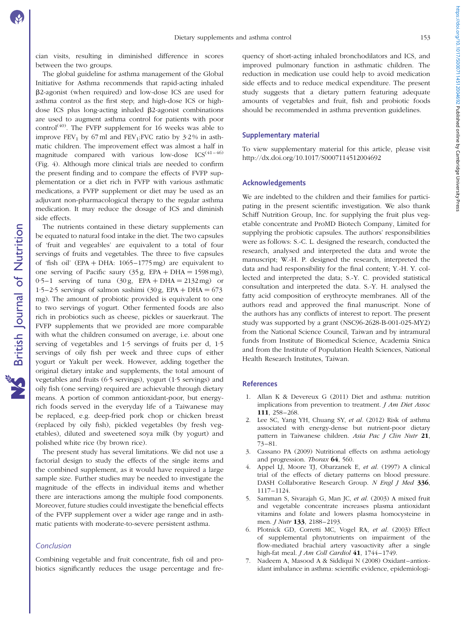cian visits, resulting in diminished difference in scores between the two groups.

The global guideline for asthma management of the Global Initiative for Asthma recommends that rapid-acting inhaled b2-agonist (when required) and low-dose ICS are used for asthma control as the first step; and high-dose ICS or highdose ICS plus long-acting inhaled  $\beta$ 2-agonist combinations are used to augment asthma control for patients with poor control<sup>(40)</sup>. The FVFP supplement for 16 weeks was able to improve  $FEV_1$  by 67 ml and  $FEV_1$ : FVC ratio by 3.2% in asthmatic children. The improvement effect was almost a half in magnitude compared with various low-dose  $ICS^{(41-46)}$ ([Fig. 4\)](#page-7-0). Although more clinical trials are needed to confirm the present finding and to compare the effects of FVFP supplementation or a diet rich in FVFP with various asthmatic medications, a FVFP supplement or diet may be used as an adjuvant non-pharmacological therapy to the regular asthma medication. It may reduce the dosage of ICS and diminish side effects.

The nutrients contained in these dietary supplements can be equated to natural food intake in the diet. The two capsules of 'fruit and vegeables' are equivalent to a total of four servings of fruits and vegetables. The three to five capsules of 'fish oil' (EPA + DHA:  $1065-1775$  mg) are equivalent to one serving of Pacific saury  $(35 \text{ g}, \text{EPA} + \text{DHA} = 1598 \text{ mg})$ ,  $0.5-1$  serving of tuna  $(30 \text{ g}, \text{ EPA} + \text{DHA} = 2132 \text{ mg})$  or 1.5–2.5 servings of salmon sashimi (30 g, EPA + DHA =  $673$ ) mg). The amount of probiotic provided is equivalent to one to two servings of yogurt. Other fermented foods are also rich in probiotics such as cheese, pickles or sauerkraut. The FVFP supplements that we provided are more comparable with what the children consumed on average, i.e. about one serving of vegetables and 1·5 servings of fruits per d, 1·5 servings of oily fish per week and three cups of either yogurt or Yakult per week. However, adding together the original dietary intake and supplements, the total amount of vegetables and fruits (6·5 servings), yogurt (1·5 servings) and oily fish (one serving) required are achievable through dietary means. A portion of common antioxidant-poor, but energyrich foods served in the everyday life of a Taiwanese may be replaced, e.g. deep-fried pork chop or chicken breast (replaced by oily fish), pickled vegetables (by fresh vegetables), diluted and sweetened soya milk (by yogurt) and polished white rice (by brown rice).

The present study has several limitations. We did not use a factorial design to study the effects of the single items and the combined supplement, as it would have required a large sample size. Further studies may be needed to investigate the magnitude of the effects in individual items and whether there are interactions among the multiple food components. Moreover, future studies could investigate the beneficial effects of the FVFP supplement over a wider age range and in asthmatic patients with moderate-to-severe persistent asthma.

#### Conclusion

Combining vegetable and fruit concentrate, fish oil and probiotics significantly reduces the usage percentage and fre-

quency of short-acting inhaled bronchodilators and ICS, and improved pulmonary function in asthmatic children. The reduction in medication use could help to avoid medication side effects and to reduce medical expenditure. The present study suggests that a dietary pattern featuring adequate amounts of vegetables and fruit, fish and probiotic foods should be recommended in asthma prevention guidelines.

# Supplementary material

To view supplementary material for this article, please visit http://dx.doi.org/10.1017/S0007114512004692

#### Acknowledgements

We are indebted to the children and their families for participating in the present scientific investigation. We also thank Schiff Nutrition Group, Inc. for supplying the fruit plus vegetable concentrate and ProMD Biotech Company, Limited for supplying the probiotic capsules. The authors' responsibilities were as follows: S.-C. L. designed the research, conducted the research, analysed and interpreted the data and wrote the manuscript; W.-H. P. designed the research, interpreted the data and had responsibility for the final content; Y.-H. Y. collected and interpreted the data; S.-Y. C. provided statistical consultation and interpreted the data. S.-Y. H. analysed the fatty acid composition of erythrocyte membranes. All of the authors read and approved the final manuscript. None of the authors has any conflicts of interest to report. The present study was supported by a grant (NSC96-2628-B-001-025-MY2) from the National Science Council, Taiwan and by intramural funds from Institute of Biomedical Science, Academia Sinica and from the Institute of Population Health Sciences, National Health Research Institutes, Taiwan.

### References

- 1. Allan K & Devereux G (2011) Diet and asthma: nutrition implications from prevention to treatment. J Am Diet Assoc 111, 258–268.
- 2. Lee SC, Yang YH, Chuang SY, et al. (2012) Risk of asthma associated with energy-dense but nutrient-poor dietary pattern in Taiwanese children. Asia Pac J Clin Nutr 21, 73–81.
- 3. Cassano PA (2009) Nutritional effects on asthma aetiology and progression. Thorax 64, 560.
- 4. Appel LJ, Moore TJ, Obarzanek E, et al. (1997) A clinical trial of the effects of dietary patterns on blood pressure. DASH Collaborative Research Group. N Engl J Med 336, 1117–1124.
- 5. Samman S, Sivarajah G, Man JC, et al. (2003) A mixed fruit and vegetable concentrate increases plasma antioxidant vitamins and folate and lowers plasma homocysteine in men. *J Nutr* 133, 2188-2193.
- 6. Plotnick GD, Corretti MC, Vogel RA, et al. (2003) Effect of supplemental phytonutrients on impairment of the flow-mediated brachial artery vasoactivity after a single high-fat meal. *J Am Coll Cardiol* 41, 1744-1749.
- 7. Nadeem A, Masood A & Siddiqui N (2008) Oxidant–antioxidant imbalance in asthma: scientific evidence, epidemiologi-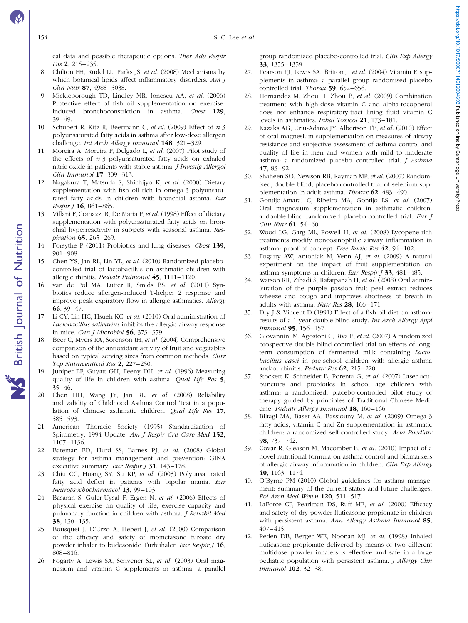British Journal of Nutrition

**NS** British Journal of Nutrition

cal data and possible therapeutic options. Ther Adv Respir Dis 2, 215–235.

- 8. Chilton FH, Rudel LL, Parks JS, et al. (2008) Mechanisms by which botanical lipids affect inflammatory disorders. Am J Clin Nutr 87, 498S–503S.
- 9. Mickleborough TD, Lindley MR, Ionescu AA, et al. (2006) Protective effect of fish oil supplementation on exerciseinduced bronchoconstriction in asthma. Chest 129, 39–49.
- 10. Schubert R, Kitz R, Beermann C, et al. (2009) Effect of  $n-3$ polyunsaturated fatty acids in asthma after low-dose allergen challenge. Int Arch Allergy Immunol 148, 321-329.
- 11. Moreira A, Moreira P, Delgado L, et al. (2007) Pilot study of the effects of  $n-3$  polyunsaturated fatty acids on exhaled nitric oxide in patients with stable asthma. J Investig Allergol Clin Immunol 17, 309–313.
- 12. Nagakura T, Matsuda S, Shichijyo K, et al. (2000) Dietary supplementation with fish oil rich in omega-3 polyunsaturated fatty acids in children with bronchial asthma. Eur Respir J 16, 861–865.
- 13. Villani F, Comazzi R, De Maria P, et al. (1998) Effect of dietary supplementation with polyunsaturated fatty acids on bronchial hyperreactivity in subjects with seasonal asthma. Respiration 65, 265–269.
- 14. Forsythe P (2011) Probiotics and lung diseases. Chest 139, 901–908.
- 15. Chen YS, Jan RL, Lin YL, et al. (2010) Randomized placebocontrolled trial of lactobacillus on asthmatic children with allergic rhinitis. Pediatr Pulmonol 45, 1111–1120.
- 16. van de Pol MA, Lutter R, Smids BS, et al. (2011) Synbiotics reduce allergen-induced T-helper 2 response and improve peak expiratory flow in allergic asthmatics. Allergy 66, 39–47.
- 17. Li CY, Lin HC, Hsueh KC, et al. (2010) Oral administration of Lactobacillus salivarius inhibits the allergic airway response in mice. Can J Microbiol  $56$ ,  $373-379$ .
- 18. Beer C, Myers RA, Sorenson JH, et al. (2004) Comprehensive comparison of the antioxidant activity of fruit and vegetables based on typical serving sizes from common methods. Curr Top Nutraceutical Res 2, 227–250.
- Juniper EF, Guyatt GH, Feeny DH, et al. (1996) Measuring quality of life in children with asthma. Qual Life Res 5, 35–46.
- 20. Chen HH, Wang JY, Jan RL, et al. (2008) Reliability and validity of Childhood Asthma Control Test in a population of Chinese asthmatic children. Qual Life Res 17, 585–593.
- 21. American Thoracic Society (1995) Standardization of Spirometry, 1994 Update. Am J Respir Crit Care Med 152, 1107–1136.
- 22. Bateman ED, Hurd SS, Barnes PJ, et al. (2008) Global strategy for asthma management and prevention: GINA executive summary. Eur Respir J 31, 143-178.
- 23. Chiu CC, Huang SY, Su KP, et al. (2003) Polyunsaturated fatty acid deficit in patients with bipolar mania. Eur Neuropsychopharmacol 13, 99–103.
- 24. Basaran S, Guler-Uysal F, Ergen N, et al. (2006) Effects of physical exercise on quality of life, exercise capacity and pulmonary function in children with asthma. J Rehabil Med 38, 130–135.
- 25. Bousquet J, D'Urzo A, Hebert J, et al. (2000) Comparison of the efficacy and safety of mometasone furoate dry powder inhaler to budesonide Turbuhaler. Eur Respir J 16, 808–816.
- 26. Fogarty A, Lewis SA, Scrivener SL, et al. (2003) Oral magnesium and vitamin C supplements in asthma: a parallel

group randomized placebo-controlled trial. Clin Exp Allergy 33, 1355–1359.

- 27. Pearson PJ, Lewis SA, Britton J, et al. (2004) Vitamin E supplements in asthma: a parallel group randomised placebo controlled trial. Thorax 59, 652-656.
- 28. Hernandez M, Zhou H, Zhou B, et al. (2009) Combination treatment with high-dose vitamin C and alpha-tocopherol does not enhance respiratory-tract lining fluid vitamin C levels in asthmatics. Inhal Toxicol 21, 173–181.
- 29. Kazaks AG, Uriu-Adams JY, Albertson TE, et al. (2010) Effect of oral magnesium supplementation on measures of airway resistance and subjective assessment of asthma control and quality of life in men and women with mild to moderate asthma: a randomized placebo controlled trial. J Asthma 47, 83–92.
- 30. Shaheen SO, Newson RB, Rayman MP, et al. (2007) Randomised, double blind, placebo-controlled trial of selenium supplementation in adult asthma. Thorax 62, 483–490.
- 31. Gontijo-Amaral C, Ribeiro MA, Gontijo LS, et al. (2007) Oral magnesium supplementation in asthmatic children: a double-blind randomized placebo-controlled trial. Eur J Clin Nutr 61, 54–60.
- 32. Wood LG, Garg ML, Powell H, et al. (2008) Lycopene-rich treatments modify noneosinophilic airway inflammation in asthma: proof of concept. Free Radic Res 42, 94–102.
- 33. Fogarty AW, Antoniak M, Venn AJ, et al. (2009) A natural experiment on the impact of fruit supplementation on asthma symptoms in children. Eur Respir J 33, 481–485.
- 34. Watson RR, Zibadi S, Rafatpanah H, et al. (2008) Oral administration of the purple passion fruit peel extract reduces wheeze and cough and improves shortness of breath in adults with asthma. Nutr Res 28, 166–171.
- 35. Dry J & Vincent D (1991) Effect of a fish oil diet on asthma: results of a 1-year double-blind study. Int Arch Allergy Appl Immunol 95, 156–157.
- 36. Giovannini M, Agostoni C, Riva E, et al. (2007) A randomized prospective double blind controlled trial on effects of longterm consumption of fermented milk containing Lactobacillus casei in pre-school children with allergic asthma and/or rhinitis. Pediatr Res 62, 215–220.
- 37. Stockert K, Schneider B, Porenta G, et al. (2007) Laser acupuncture and probiotics in school age children with asthma: a randomized, placebo-controlled pilot study of therapy guided by principles of Traditional Chinese Medicine. Pediatr Allergy Immunol 18, 160-166.
- 38. Biltagi MA, Baset AA, Bassiouny M, et al. (2009) Omega-3 fatty acids, vitamin C and Zn supplementation in asthmatic children: a randomized self-controlled study. Acta Paediatr 98, 737–742.
- 39. Covar R, Gleason M, Macomber B, et al. (2010) Impact of a novel nutritional formula on asthma control and biomarkers of allergic airway inflammation in children. Clin Exp Allergy 40, 1163–1174.
- 40. O'Byrne PM (2010) Global guidelines for asthma management: summary of the current status and future challenges. Pol Arch Med Wewn 120, 511–517.
- 41. LaForce CF, Pearlman DS, Ruff ME, et al. (2000) Efficacy and safety of dry powder fluticasone propionate in children with persistent asthma. Ann Allergy Asthma Immunol 85, 407–415.
- 42. Peden DB, Berger WE, Noonan MJ, et al. (1998) Inhaled fluticasone propionate delivered by means of two different multidose powder inhalers is effective and safe in a large pediatric population with persistent asthma. J Allergy Clin Immunol 102, 32–38.